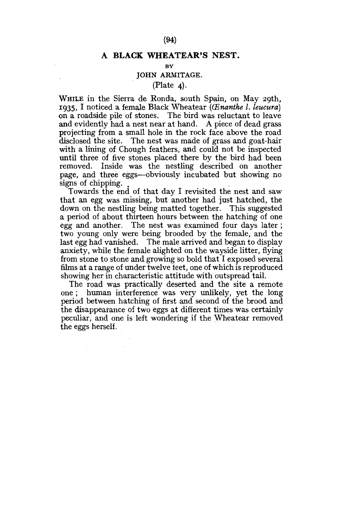# **(94)**

### **A BLACK WHEATEAR'S NEST.**

#### $\mathbf{B}$

# JOHN ARMITAGE.

# $(Place 4).$

WHILE in the Sierra de Ronda, south Spain, on May 29th, 1935, I noticed a female Black Wheatear *(CEnanthe I. leucura)*  on a roadside pile of stones. The bird was reluctant to leave and evidently had a nest near at hand. A piece of dead grass projecting from a small hole in the rock face above the road disclosed the site. The nest was made of grass and goat-hair with a lining of Chough feathers, and could not be inspected until three of five stones placed there by the bird had been removed. Inside was the nestling described on another page, and three eggs—obviously incubated but showing no signs of chipping.

Towards the end of that day I revisited the nest and saw that an egg was missing, but another had just hatched, the down on the nestling being matted together. This suggested a period of about thirteen hours between the hatching of one egg and another. The nest was examined four days later; two young only were being brooded by the female, and the last egg had vanished. The male arrived and began to display anxiety, while the female alighted on the wayside litter, flying from stone to stone and growing so bold that I exposed several films at a range of under twelve teet, one of which is reproduced showing her in characteristic attitude with outspread tail.

The road was practically deserted and the site a remote one ; human interference was very unlikely, yet the long period between hatching of first and second of the brood and the disappearance of two eggs at different times was certainly peculiar, and one is left wondering if the Wheatear removed the eggs herself.